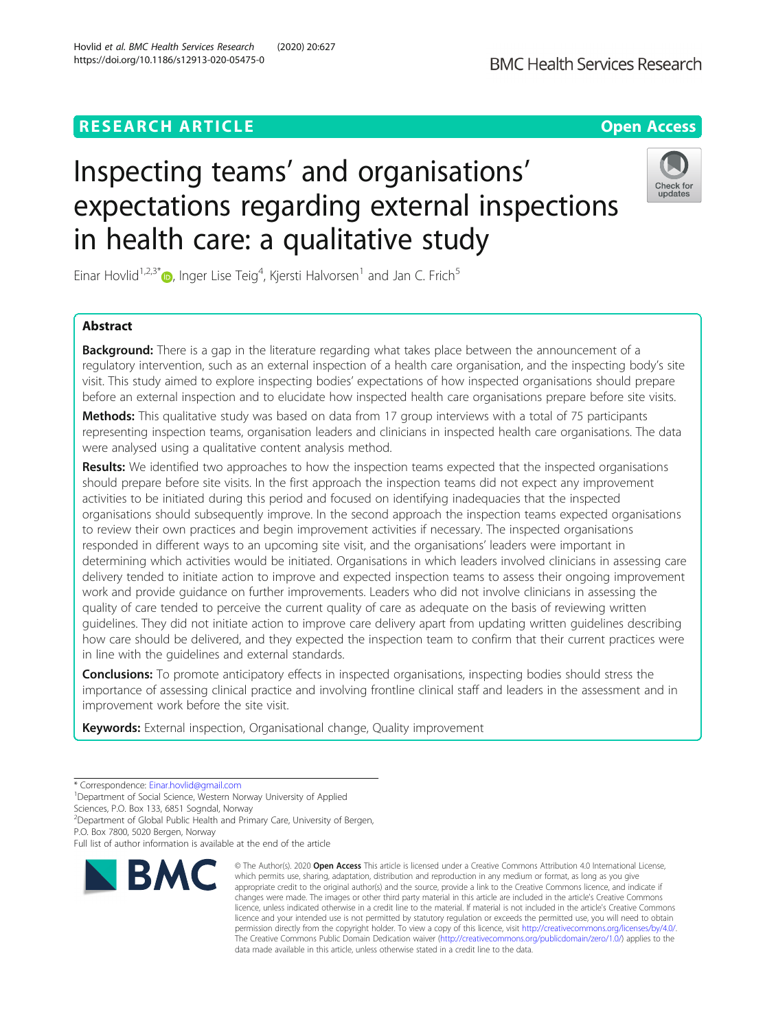# **RESEARCH ARTICLE Example 2014 12:30 The Contract of Contract ACCESS**

# Inspecting teams' and organisations' expectations regarding external inspections in health care: a qualitative study

Einar Hovlid<sup>1[,](http://orcid.org/0000-0003-0300-4405)2,3\*</sup> $\bullet$ , Inger Lise Teig<sup>4</sup>, Kjersti Halvorsen<sup>1</sup> and Jan C. Frich<sup>5</sup>

## Abstract

**Background:** There is a gap in the literature regarding what takes place between the announcement of a regulatory intervention, such as an external inspection of a health care organisation, and the inspecting body's site visit. This study aimed to explore inspecting bodies' expectations of how inspected organisations should prepare before an external inspection and to elucidate how inspected health care organisations prepare before site visits.

Methods: This qualitative study was based on data from 17 group interviews with a total of 75 participants representing inspection teams, organisation leaders and clinicians in inspected health care organisations. The data were analysed using a qualitative content analysis method.

Results: We identified two approaches to how the inspection teams expected that the inspected organisations should prepare before site visits. In the first approach the inspection teams did not expect any improvement activities to be initiated during this period and focused on identifying inadequacies that the inspected organisations should subsequently improve. In the second approach the inspection teams expected organisations to review their own practices and begin improvement activities if necessary. The inspected organisations responded in different ways to an upcoming site visit, and the organisations' leaders were important in determining which activities would be initiated. Organisations in which leaders involved clinicians in assessing care delivery tended to initiate action to improve and expected inspection teams to assess their ongoing improvement work and provide guidance on further improvements. Leaders who did not involve clinicians in assessing the quality of care tended to perceive the current quality of care as adequate on the basis of reviewing written guidelines. They did not initiate action to improve care delivery apart from updating written guidelines describing how care should be delivered, and they expected the inspection team to confirm that their current practices were in line with the guidelines and external standards.

Conclusions: To promote anticipatory effects in inspected organisations, inspecting bodies should stress the importance of assessing clinical practice and involving frontline clinical staff and leaders in the assessment and in improvement work before the site visit.

data made available in this article, unless otherwise stated in a credit line to the data.

© The Author(s), 2020 **Open Access** This article is licensed under a Creative Commons Attribution 4.0 International License, which permits use, sharing, adaptation, distribution and reproduction in any medium or format, as long as you give

Keywords: External inspection, Organisational change, Quality improvement

\* Correspondence: [Einar.hovlid@gmail.com](mailto:Einar.hovlid@gmail.com) <sup>1</sup>

<sup>1</sup>Department of Social Science, Western Norway University of Applied

Sciences, P.O. Box 133, 6851 Sogndal, Norway <sup>2</sup>Department of Global Public Health and Primary Care, University of Bergen,

P.O. Box 7800, 5020 Bergen, Norway

**RMC** 

Full list of author information is available at the end of the article



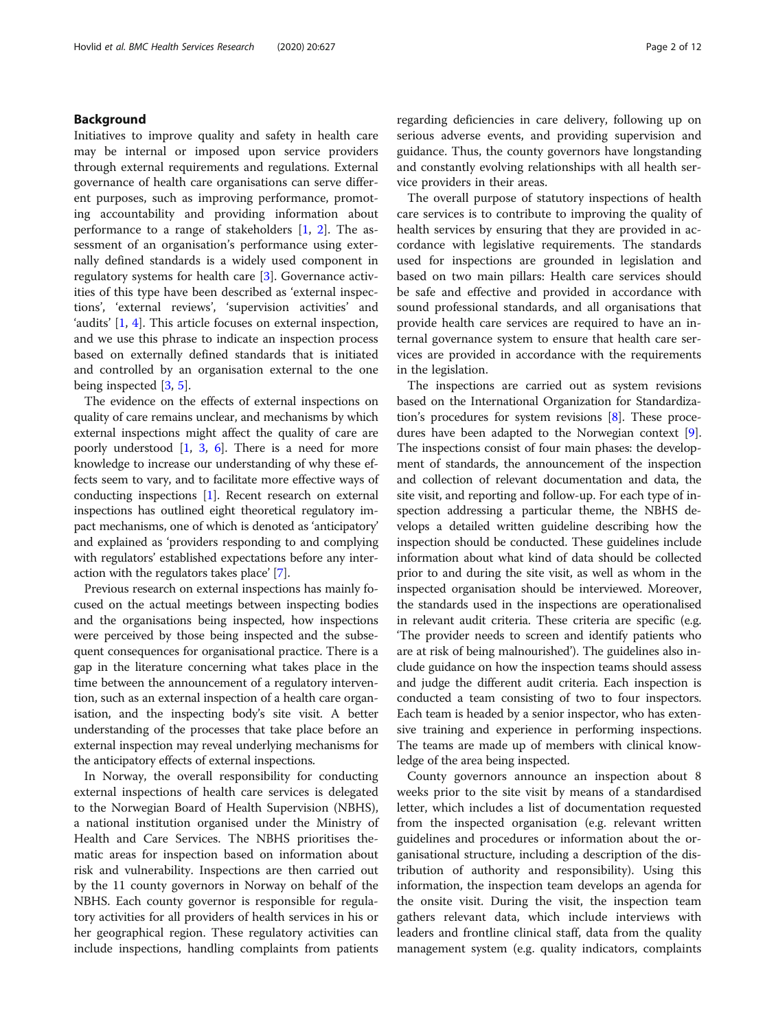## Background

Initiatives to improve quality and safety in health care may be internal or imposed upon service providers through external requirements and regulations. External governance of health care organisations can serve different purposes, such as improving performance, promoting accountability and providing information about performance to a range of stakeholders [\[1,](#page-10-0) [2](#page-10-0)]. The assessment of an organisation's performance using externally defined standards is a widely used component in regulatory systems for health care [\[3](#page-10-0)]. Governance activities of this type have been described as 'external inspections', 'external reviews', 'supervision activities' and 'audits' [\[1](#page-10-0), [4](#page-10-0)]. This article focuses on external inspection, and we use this phrase to indicate an inspection process based on externally defined standards that is initiated and controlled by an organisation external to the one being inspected [\[3](#page-10-0), [5](#page-10-0)].

The evidence on the effects of external inspections on quality of care remains unclear, and mechanisms by which external inspections might affect the quality of care are poorly understood  $[1, 3, 6]$  $[1, 3, 6]$  $[1, 3, 6]$  $[1, 3, 6]$  $[1, 3, 6]$  $[1, 3, 6]$  $[1, 3, 6]$ . There is a need for more knowledge to increase our understanding of why these effects seem to vary, and to facilitate more effective ways of conducting inspections [[1\]](#page-10-0). Recent research on external inspections has outlined eight theoretical regulatory impact mechanisms, one of which is denoted as 'anticipatory' and explained as 'providers responding to and complying with regulators' established expectations before any interaction with the regulators takes place' [[7\]](#page-10-0).

Previous research on external inspections has mainly focused on the actual meetings between inspecting bodies and the organisations being inspected, how inspections were perceived by those being inspected and the subsequent consequences for organisational practice. There is a gap in the literature concerning what takes place in the time between the announcement of a regulatory intervention, such as an external inspection of a health care organisation, and the inspecting body's site visit. A better understanding of the processes that take place before an external inspection may reveal underlying mechanisms for the anticipatory effects of external inspections.

In Norway, the overall responsibility for conducting external inspections of health care services is delegated to the Norwegian Board of Health Supervision (NBHS), a national institution organised under the Ministry of Health and Care Services. The NBHS prioritises thematic areas for inspection based on information about risk and vulnerability. Inspections are then carried out by the 11 county governors in Norway on behalf of the NBHS. Each county governor is responsible for regulatory activities for all providers of health services in his or her geographical region. These regulatory activities can include inspections, handling complaints from patients

regarding deficiencies in care delivery, following up on serious adverse events, and providing supervision and guidance. Thus, the county governors have longstanding and constantly evolving relationships with all health service providers in their areas.

The overall purpose of statutory inspections of health care services is to contribute to improving the quality of health services by ensuring that they are provided in accordance with legislative requirements. The standards used for inspections are grounded in legislation and based on two main pillars: Health care services should be safe and effective and provided in accordance with sound professional standards, and all organisations that provide health care services are required to have an internal governance system to ensure that health care services are provided in accordance with the requirements in the legislation.

The inspections are carried out as system revisions based on the International Organization for Standardization's procedures for system revisions [[8](#page-10-0)]. These procedures have been adapted to the Norwegian context [[9](#page-10-0)]. The inspections consist of four main phases: the development of standards, the announcement of the inspection and collection of relevant documentation and data, the site visit, and reporting and follow-up. For each type of inspection addressing a particular theme, the NBHS develops a detailed written guideline describing how the inspection should be conducted. These guidelines include information about what kind of data should be collected prior to and during the site visit, as well as whom in the inspected organisation should be interviewed. Moreover, the standards used in the inspections are operationalised in relevant audit criteria. These criteria are specific (e.g. 'The provider needs to screen and identify patients who are at risk of being malnourished'). The guidelines also include guidance on how the inspection teams should assess and judge the different audit criteria. Each inspection is conducted a team consisting of two to four inspectors. Each team is headed by a senior inspector, who has extensive training and experience in performing inspections. The teams are made up of members with clinical knowledge of the area being inspected.

County governors announce an inspection about 8 weeks prior to the site visit by means of a standardised letter, which includes a list of documentation requested from the inspected organisation (e.g. relevant written guidelines and procedures or information about the organisational structure, including a description of the distribution of authority and responsibility). Using this information, the inspection team develops an agenda for the onsite visit. During the visit, the inspection team gathers relevant data, which include interviews with leaders and frontline clinical staff, data from the quality management system (e.g. quality indicators, complaints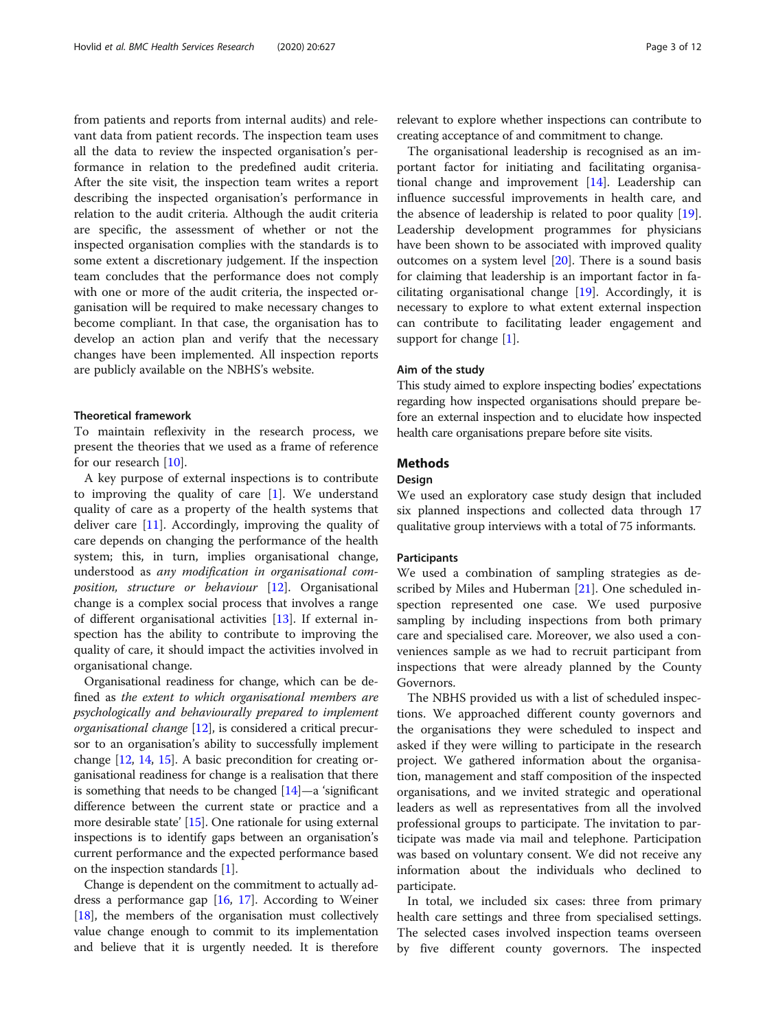from patients and reports from internal audits) and relevant data from patient records. The inspection team uses all the data to review the inspected organisation's performance in relation to the predefined audit criteria. After the site visit, the inspection team writes a report describing the inspected organisation's performance in relation to the audit criteria. Although the audit criteria are specific, the assessment of whether or not the inspected organisation complies with the standards is to some extent a discretionary judgement. If the inspection team concludes that the performance does not comply with one or more of the audit criteria, the inspected organisation will be required to make necessary changes to become compliant. In that case, the organisation has to develop an action plan and verify that the necessary changes have been implemented. All inspection reports are publicly available on the NBHS's website.

## Theoretical framework

To maintain reflexivity in the research process, we present the theories that we used as a frame of reference for our research [[10](#page-10-0)].

A key purpose of external inspections is to contribute to improving the quality of care [[1\]](#page-10-0). We understand quality of care as a property of the health systems that deliver care [\[11](#page-10-0)]. Accordingly, improving the quality of care depends on changing the performance of the health system; this, in turn, implies organisational change, understood as any modification in organisational composition, structure or behaviour [\[12\]](#page-10-0). Organisational change is a complex social process that involves a range of different organisational activities [\[13\]](#page-10-0). If external inspection has the ability to contribute to improving the quality of care, it should impact the activities involved in organisational change.

Organisational readiness for change, which can be defined as the extent to which organisational members are psychologically and behaviourally prepared to implement organisational change [\[12\]](#page-10-0), is considered a critical precursor to an organisation's ability to successfully implement change [\[12,](#page-10-0) [14](#page-10-0), [15](#page-10-0)]. A basic precondition for creating organisational readiness for change is a realisation that there is something that needs to be changed  $[14]$  $[14]$  $[14]$ —a 'significant difference between the current state or practice and a more desirable state' [[15](#page-10-0)]. One rationale for using external inspections is to identify gaps between an organisation's current performance and the expected performance based on the inspection standards [[1\]](#page-10-0).

Change is dependent on the commitment to actually address a performance gap [[16](#page-10-0), [17\]](#page-10-0). According to Weiner [[18](#page-10-0)], the members of the organisation must collectively value change enough to commit to its implementation and believe that it is urgently needed. It is therefore

relevant to explore whether inspections can contribute to creating acceptance of and commitment to change.

The organisational leadership is recognised as an important factor for initiating and facilitating organisational change and improvement [\[14\]](#page-10-0). Leadership can influence successful improvements in health care, and the absence of leadership is related to poor quality [\[19](#page-10-0)]. Leadership development programmes for physicians have been shown to be associated with improved quality outcomes on a system level [\[20\]](#page-10-0). There is a sound basis for claiming that leadership is an important factor in facilitating organisational change [[19](#page-10-0)]. Accordingly, it is necessary to explore to what extent external inspection can contribute to facilitating leader engagement and support for change [[1](#page-10-0)].

## Aim of the study

This study aimed to explore inspecting bodies' expectations regarding how inspected organisations should prepare before an external inspection and to elucidate how inspected health care organisations prepare before site visits.

## Methods

## Design

We used an exploratory case study design that included six planned inspections and collected data through 17 qualitative group interviews with a total of 75 informants.

## **Participants**

We used a combination of sampling strategies as described by Miles and Huberman [\[21\]](#page-10-0). One scheduled inspection represented one case. We used purposive sampling by including inspections from both primary care and specialised care. Moreover, we also used a conveniences sample as we had to recruit participant from inspections that were already planned by the County Governors.

The NBHS provided us with a list of scheduled inspections. We approached different county governors and the organisations they were scheduled to inspect and asked if they were willing to participate in the research project. We gathered information about the organisation, management and staff composition of the inspected organisations, and we invited strategic and operational leaders as well as representatives from all the involved professional groups to participate. The invitation to participate was made via mail and telephone. Participation was based on voluntary consent. We did not receive any information about the individuals who declined to participate.

In total, we included six cases: three from primary health care settings and three from specialised settings. The selected cases involved inspection teams overseen by five different county governors. The inspected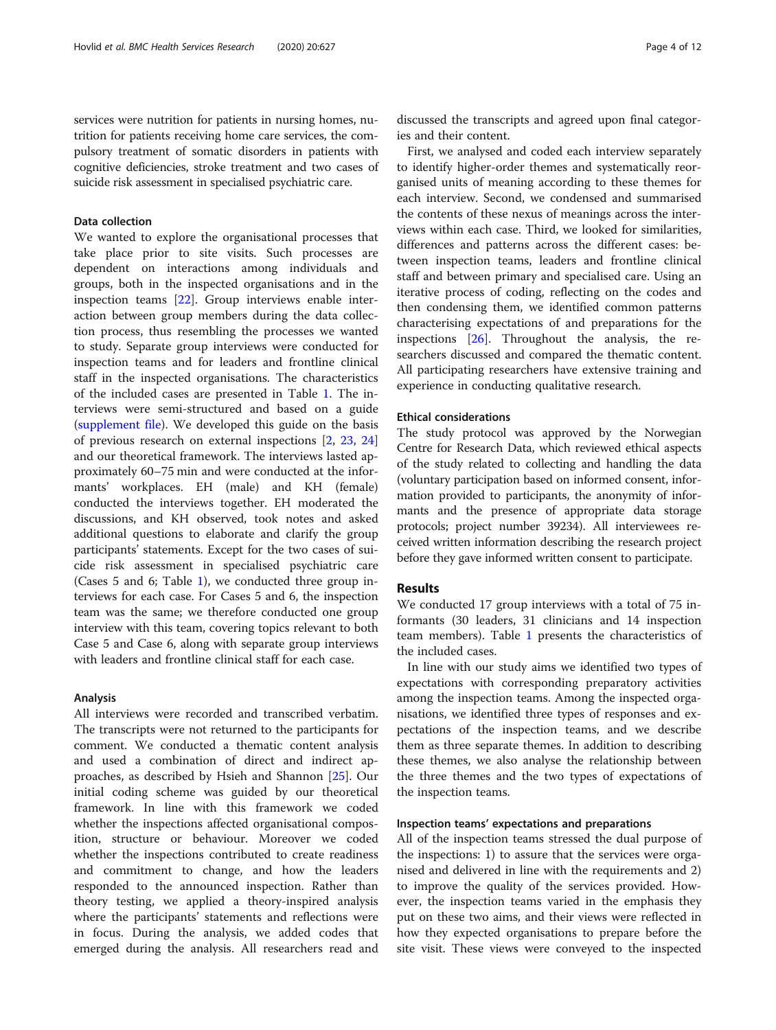services were nutrition for patients in nursing homes, nutrition for patients receiving home care services, the compulsory treatment of somatic disorders in patients with cognitive deficiencies, stroke treatment and two cases of suicide risk assessment in specialised psychiatric care.

## Data collection

We wanted to explore the organisational processes that take place prior to site visits. Such processes are dependent on interactions among individuals and groups, both in the inspected organisations and in the inspection teams  $[22]$  $[22]$  $[22]$ . Group interviews enable interaction between group members during the data collection process, thus resembling the processes we wanted to study. Separate group interviews were conducted for inspection teams and for leaders and frontline clinical staff in the inspected organisations. The characteristics of the included cases are presented in Table [1.](#page-4-0) The interviews were semi-structured and based on a guide ([supplement file\)](#page-10-0). We developed this guide on the basis of previous research on external inspections [\[2](#page-10-0), [23](#page-10-0), [24](#page-10-0)] and our theoretical framework. The interviews lasted approximately 60–75 min and were conducted at the informants' workplaces. EH (male) and KH (female) conducted the interviews together. EH moderated the discussions, and KH observed, took notes and asked additional questions to elaborate and clarify the group participants' statements. Except for the two cases of suicide risk assessment in specialised psychiatric care (Cases 5 and 6; Table [1](#page-4-0)), we conducted three group interviews for each case. For Cases 5 and 6, the inspection team was the same; we therefore conducted one group interview with this team, covering topics relevant to both Case 5 and Case 6, along with separate group interviews with leaders and frontline clinical staff for each case.

## Analysis

All interviews were recorded and transcribed verbatim. The transcripts were not returned to the participants for comment. We conducted a thematic content analysis and used a combination of direct and indirect approaches, as described by Hsieh and Shannon [\[25\]](#page-10-0). Our initial coding scheme was guided by our theoretical framework. In line with this framework we coded whether the inspections affected organisational composition, structure or behaviour. Moreover we coded whether the inspections contributed to create readiness and commitment to change, and how the leaders responded to the announced inspection. Rather than theory testing, we applied a theory-inspired analysis where the participants' statements and reflections were in focus. During the analysis, we added codes that emerged during the analysis. All researchers read and

discussed the transcripts and agreed upon final categories and their content.

First, we analysed and coded each interview separately to identify higher-order themes and systematically reorganised units of meaning according to these themes for each interview. Second, we condensed and summarised the contents of these nexus of meanings across the interviews within each case. Third, we looked for similarities, differences and patterns across the different cases: between inspection teams, leaders and frontline clinical staff and between primary and specialised care. Using an iterative process of coding, reflecting on the codes and then condensing them, we identified common patterns characterising expectations of and preparations for the inspections [[26\]](#page-10-0). Throughout the analysis, the researchers discussed and compared the thematic content. All participating researchers have extensive training and experience in conducting qualitative research.

## Ethical considerations

The study protocol was approved by the Norwegian Centre for Research Data, which reviewed ethical aspects of the study related to collecting and handling the data (voluntary participation based on informed consent, information provided to participants, the anonymity of informants and the presence of appropriate data storage protocols; project number 39234). All interviewees received written information describing the research project before they gave informed written consent to participate.

## Results

We conducted 17 group interviews with a total of 75 informants (30 leaders, 31 clinicians and 14 inspection team members). Table [1](#page-4-0) presents the characteristics of the included cases.

In line with our study aims we identified two types of expectations with corresponding preparatory activities among the inspection teams. Among the inspected organisations, we identified three types of responses and expectations of the inspection teams, and we describe them as three separate themes. In addition to describing these themes, we also analyse the relationship between the three themes and the two types of expectations of the inspection teams.

## Inspection teams' expectations and preparations

All of the inspection teams stressed the dual purpose of the inspections: 1) to assure that the services were organised and delivered in line with the requirements and 2) to improve the quality of the services provided. However, the inspection teams varied in the emphasis they put on these two aims, and their views were reflected in how they expected organisations to prepare before the site visit. These views were conveyed to the inspected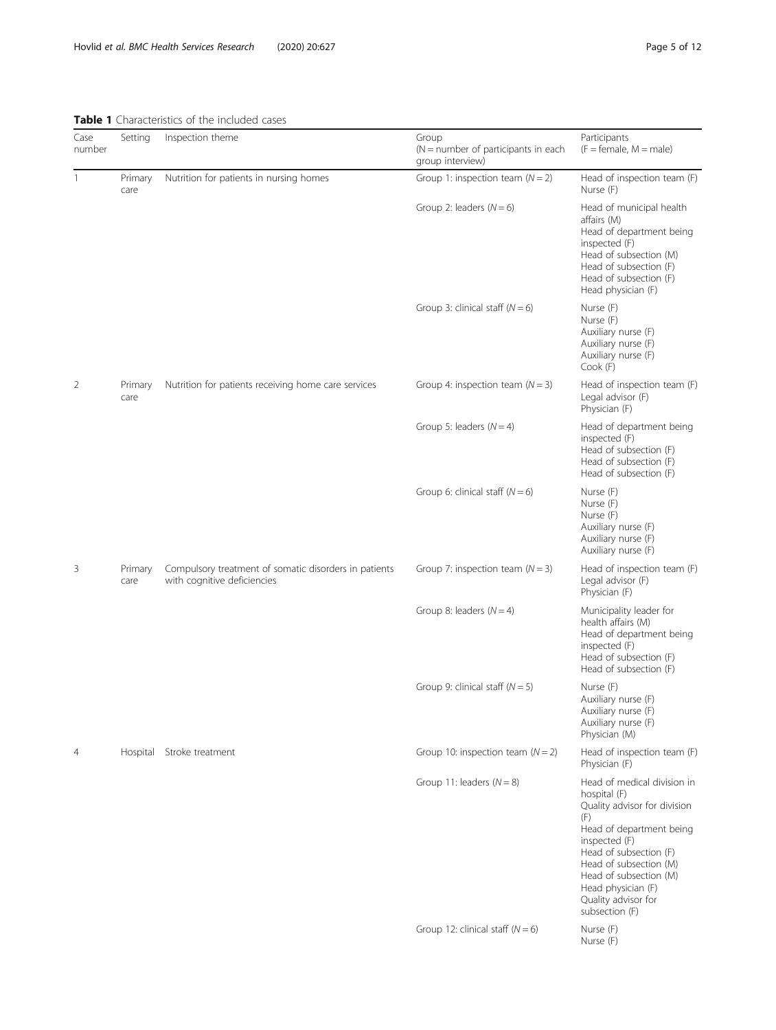## <span id="page-4-0"></span>Table 1 Characteristics of the included cases

| Case<br>number | Setting         | Inspection theme                                                                     | Group<br>$(N =$ number of participants in each<br>group interview) | Participants<br>$(F = female, M = male)$                                                                                                                                                                                                                                     |
|----------------|-----------------|--------------------------------------------------------------------------------------|--------------------------------------------------------------------|------------------------------------------------------------------------------------------------------------------------------------------------------------------------------------------------------------------------------------------------------------------------------|
|                | Primary<br>care | Nutrition for patients in nursing homes                                              | Group 1: inspection team $(N = 2)$                                 | Head of inspection team (F)<br>Nurse (F)                                                                                                                                                                                                                                     |
|                |                 |                                                                                      | Group 2: leaders $(N = 6)$                                         | Head of municipal health<br>affairs (M)<br>Head of department being<br>inspected (F)<br>Head of subsection (M)<br>Head of subsection (F)<br>Head of subsection (F)<br>Head physician (F)                                                                                     |
|                |                 |                                                                                      | Group 3: clinical staff $(N = 6)$                                  | Nurse (F)<br>Nurse (F)<br>Auxiliary nurse (F)<br>Auxiliary nurse (F)<br>Auxiliary nurse (F)<br>Cook (F)                                                                                                                                                                      |
| 2              | Primary<br>care | Nutrition for patients receiving home care services                                  | Group 4: inspection team $(N = 3)$                                 | Head of inspection team (F)<br>Legal advisor (F)<br>Physician (F)                                                                                                                                                                                                            |
|                |                 |                                                                                      | Group 5: leaders ( $N = 4$ )                                       | Head of department being<br>inspected (F)<br>Head of subsection (F)<br>Head of subsection (F)<br>Head of subsection (F)                                                                                                                                                      |
|                |                 |                                                                                      | Group 6: clinical staff $(N = 6)$                                  | Nurse (F)<br>Nurse (F)<br>Nurse (F)<br>Auxiliary nurse (F)<br>Auxiliary nurse (F)<br>Auxiliary nurse (F)                                                                                                                                                                     |
| 3              | Primary<br>care | Compulsory treatment of somatic disorders in patients<br>with cognitive deficiencies | Group 7: inspection team $(N = 3)$                                 | Head of inspection team (F)<br>Legal advisor (F)<br>Physician (F)                                                                                                                                                                                                            |
|                |                 |                                                                                      | Group 8: leaders $(N = 4)$                                         | Municipality leader for<br>health affairs (M)<br>Head of department being<br>inspected (F)<br>Head of subsection (F)<br>Head of subsection (F)                                                                                                                               |
|                |                 |                                                                                      | Group 9: clinical staff ( $N = 5$ )                                | Nurse (F)<br>Auxiliary nurse (F)<br>Auxiliary nurse (F)<br>Auxiliary nurse (F)<br>Physician (M)                                                                                                                                                                              |
| 4              | Hospital        | Stroke treatment                                                                     | Group 10: inspection team $(N = 2)$                                | Head of inspection team (F)<br>Physician (F)                                                                                                                                                                                                                                 |
|                |                 |                                                                                      | Group 11: leaders $(N = 8)$                                        | Head of medical division in<br>hospital (F)<br>Quality advisor for division<br>(F)<br>Head of department being<br>inspected (F)<br>Head of subsection (F)<br>Head of subsection (M)<br>Head of subsection (M)<br>Head physician (F)<br>Quality advisor for<br>subsection (F) |
|                |                 |                                                                                      | Group 12: clinical staff ( $N = 6$ )                               | Nurse (F)<br>Nurse (F)                                                                                                                                                                                                                                                       |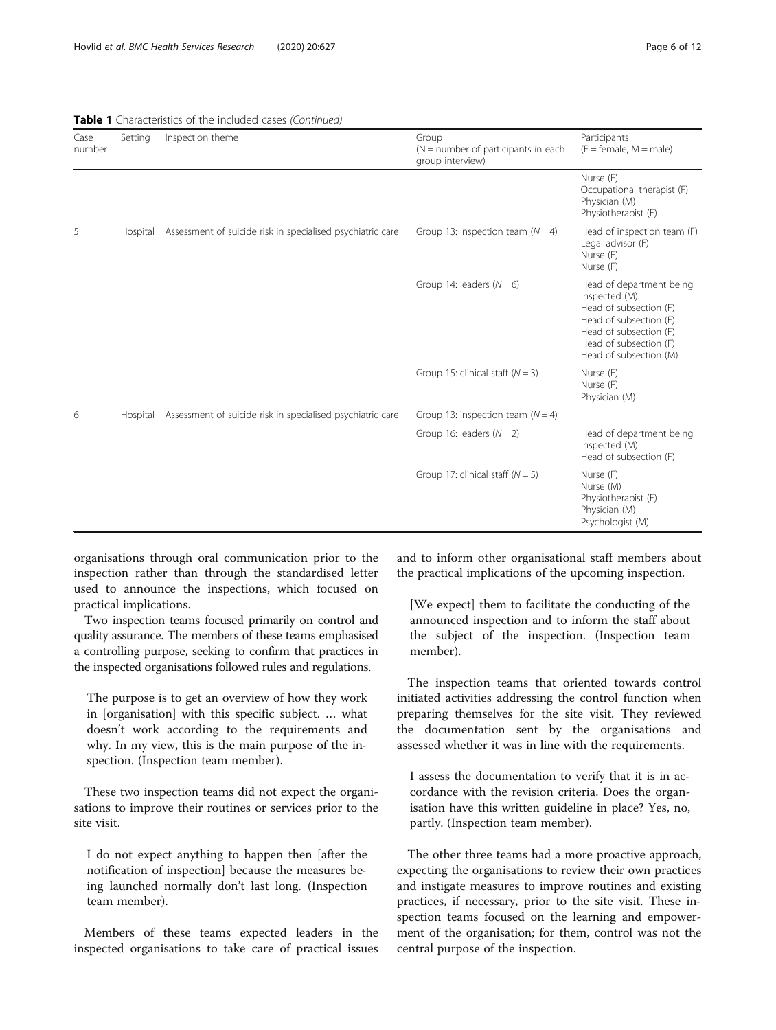| Case<br>number | Setting  | Inspection theme                                           | Group<br>$(N =$ number of participants in each<br>group interview) | Participants<br>$(F = female, M = male)$                                                                                                                                    |
|----------------|----------|------------------------------------------------------------|--------------------------------------------------------------------|-----------------------------------------------------------------------------------------------------------------------------------------------------------------------------|
|                |          |                                                            |                                                                    | Nurse (F)<br>Occupational therapist (F)<br>Physician (M)<br>Physiotherapist (F)                                                                                             |
| 5              | Hospital | Assessment of suicide risk in specialised psychiatric care | Group 13: inspection team $(N = 4)$                                | Head of inspection team (F)<br>Legal advisor (F)<br>Nurse (F)<br>Nurse (F)                                                                                                  |
|                |          |                                                            | Group 14: leaders $(N = 6)$                                        | Head of department being<br>inspected (M)<br>Head of subsection (F)<br>Head of subsection (F)<br>Head of subsection (F)<br>Head of subsection (F)<br>Head of subsection (M) |
|                |          |                                                            | Group 15: clinical staff $(N = 3)$                                 | Nurse (F)<br>Nurse (F)<br>Physician (M)                                                                                                                                     |
| 6              | Hospital | Assessment of suicide risk in specialised psychiatric care | Group 13: inspection team $(N = 4)$                                |                                                                                                                                                                             |
|                |          |                                                            | Group 16: leaders $(N = 2)$                                        | Head of department being<br>inspected (M)<br>Head of subsection (F)                                                                                                         |
|                |          |                                                            | Group 17: clinical staff ( $N = 5$ )                               | Nurse (F)<br>Nurse (M)<br>Physiotherapist (F)<br>Physician (M)<br>Psychologist (M)                                                                                          |

Table 1 Characteristics of the included cases (Continued)

organisations through oral communication prior to the inspection rather than through the standardised letter used to announce the inspections, which focused on practical implications.

Two inspection teams focused primarily on control and quality assurance. The members of these teams emphasised a controlling purpose, seeking to confirm that practices in the inspected organisations followed rules and regulations.

The purpose is to get an overview of how they work in [organisation] with this specific subject. … what doesn't work according to the requirements and why. In my view, this is the main purpose of the inspection. (Inspection team member).

These two inspection teams did not expect the organisations to improve their routines or services prior to the site visit.

I do not expect anything to happen then [after the notification of inspection] because the measures being launched normally don't last long. (Inspection team member).

Members of these teams expected leaders in the inspected organisations to take care of practical issues and to inform other organisational staff members about the practical implications of the upcoming inspection.

[We expect] them to facilitate the conducting of the announced inspection and to inform the staff about the subject of the inspection. (Inspection team member).

The inspection teams that oriented towards control initiated activities addressing the control function when preparing themselves for the site visit. They reviewed the documentation sent by the organisations and assessed whether it was in line with the requirements.

I assess the documentation to verify that it is in accordance with the revision criteria. Does the organisation have this written guideline in place? Yes, no, partly. (Inspection team member).

The other three teams had a more proactive approach, expecting the organisations to review their own practices and instigate measures to improve routines and existing practices, if necessary, prior to the site visit. These inspection teams focused on the learning and empowerment of the organisation; for them, control was not the central purpose of the inspection.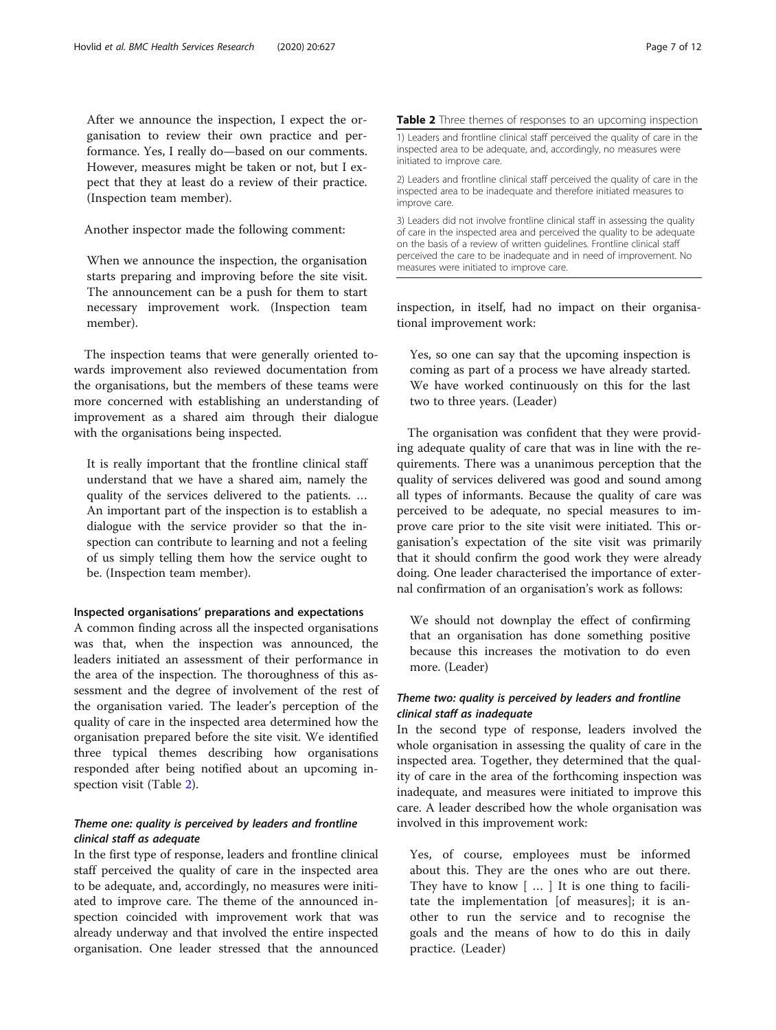After we announce the inspection, I expect the organisation to review their own practice and performance. Yes, I really do—based on our comments. However, measures might be taken or not, but I expect that they at least do a review of their practice. (Inspection team member).

Another inspector made the following comment:

When we announce the inspection, the organisation starts preparing and improving before the site visit. The announcement can be a push for them to start necessary improvement work. (Inspection team member).

The inspection teams that were generally oriented towards improvement also reviewed documentation from the organisations, but the members of these teams were more concerned with establishing an understanding of improvement as a shared aim through their dialogue with the organisations being inspected.

It is really important that the frontline clinical staff understand that we have a shared aim, namely the quality of the services delivered to the patients. … An important part of the inspection is to establish a dialogue with the service provider so that the inspection can contribute to learning and not a feeling of us simply telling them how the service ought to be. (Inspection team member).

## Inspected organisations' preparations and expectations

A common finding across all the inspected organisations was that, when the inspection was announced, the leaders initiated an assessment of their performance in the area of the inspection. The thoroughness of this assessment and the degree of involvement of the rest of the organisation varied. The leader's perception of the quality of care in the inspected area determined how the organisation prepared before the site visit. We identified three typical themes describing how organisations responded after being notified about an upcoming inspection visit (Table 2).

## Theme one: quality is perceived by leaders and frontline clinical staff as adequate

In the first type of response, leaders and frontline clinical staff perceived the quality of care in the inspected area to be adequate, and, accordingly, no measures were initiated to improve care. The theme of the announced inspection coincided with improvement work that was already underway and that involved the entire inspected organisation. One leader stressed that the announced

## Table 2 Three themes of responses to an upcoming inspection

1) Leaders and frontline clinical staff perceived the quality of care in the inspected area to be adequate, and, accordingly, no measures were initiated to improve care.

2) Leaders and frontline clinical staff perceived the quality of care in the inspected area to be inadequate and therefore initiated measures to improve care.

3) Leaders did not involve frontline clinical staff in assessing the quality of care in the inspected area and perceived the quality to be adequate on the basis of a review of written guidelines. Frontline clinical staff perceived the care to be inadequate and in need of improvement. No measures were initiated to improve care.

inspection, in itself, had no impact on their organisational improvement work:

Yes, so one can say that the upcoming inspection is coming as part of a process we have already started. We have worked continuously on this for the last two to three years. (Leader)

The organisation was confident that they were providing adequate quality of care that was in line with the requirements. There was a unanimous perception that the quality of services delivered was good and sound among all types of informants. Because the quality of care was perceived to be adequate, no special measures to improve care prior to the site visit were initiated. This organisation's expectation of the site visit was primarily that it should confirm the good work they were already doing. One leader characterised the importance of external confirmation of an organisation's work as follows:

We should not downplay the effect of confirming that an organisation has done something positive because this increases the motivation to do even more. (Leader)

## Theme two: quality is perceived by leaders and frontline clinical staff as inadequate

In the second type of response, leaders involved the whole organisation in assessing the quality of care in the inspected area. Together, they determined that the quality of care in the area of the forthcoming inspection was inadequate, and measures were initiated to improve this care. A leader described how the whole organisation was involved in this improvement work:

Yes, of course, employees must be informed about this. They are the ones who are out there. They have to know [ … ] It is one thing to facilitate the implementation [of measures]; it is another to run the service and to recognise the goals and the means of how to do this in daily practice. (Leader)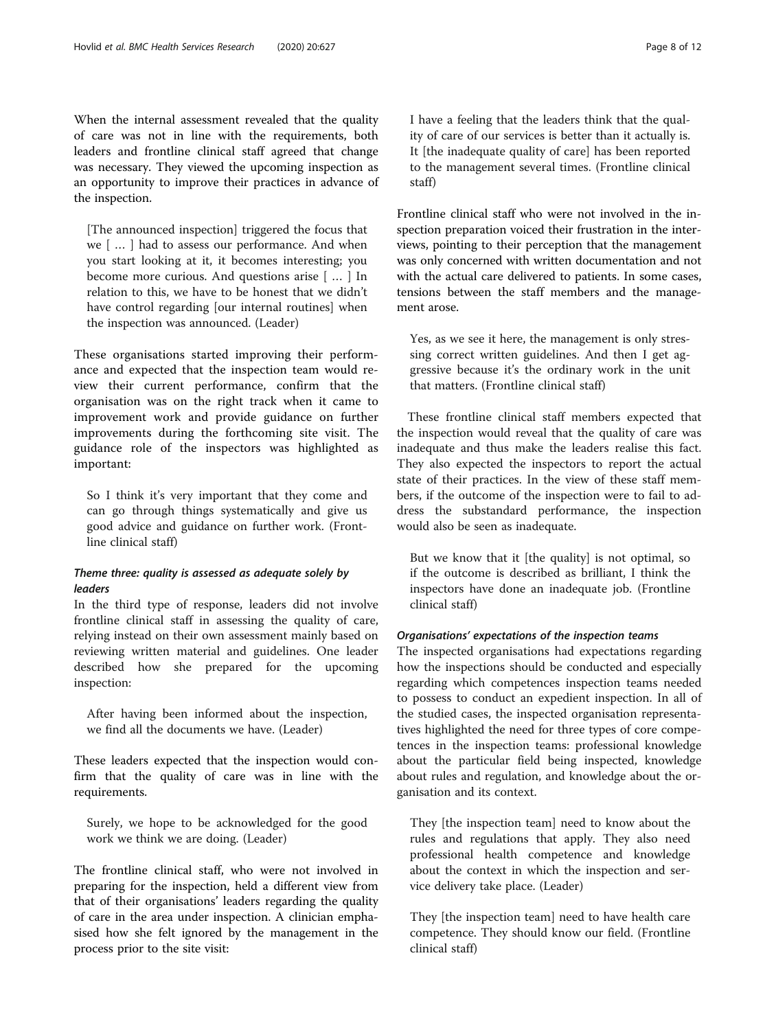When the internal assessment revealed that the quality of care was not in line with the requirements, both leaders and frontline clinical staff agreed that change was necessary. They viewed the upcoming inspection as an opportunity to improve their practices in advance of the inspection.

[The announced inspection] triggered the focus that we [ … ] had to assess our performance. And when you start looking at it, it becomes interesting; you become more curious. And questions arise [ … ] In relation to this, we have to be honest that we didn't have control regarding [our internal routines] when the inspection was announced. (Leader)

These organisations started improving their performance and expected that the inspection team would review their current performance, confirm that the organisation was on the right track when it came to improvement work and provide guidance on further improvements during the forthcoming site visit. The guidance role of the inspectors was highlighted as important:

So I think it's very important that they come and can go through things systematically and give us good advice and guidance on further work. (Frontline clinical staff)

## Theme three: quality is assessed as adequate solely by leaders

In the third type of response, leaders did not involve frontline clinical staff in assessing the quality of care, relying instead on their own assessment mainly based on reviewing written material and guidelines. One leader described how she prepared for the upcoming inspection:

After having been informed about the inspection, we find all the documents we have. (Leader)

These leaders expected that the inspection would confirm that the quality of care was in line with the requirements.

Surely, we hope to be acknowledged for the good work we think we are doing. (Leader)

The frontline clinical staff, who were not involved in preparing for the inspection, held a different view from that of their organisations' leaders regarding the quality of care in the area under inspection. A clinician emphasised how she felt ignored by the management in the process prior to the site visit:

I have a feeling that the leaders think that the quality of care of our services is better than it actually is. It [the inadequate quality of care] has been reported to the management several times. (Frontline clinical staff)

Frontline clinical staff who were not involved in the inspection preparation voiced their frustration in the interviews, pointing to their perception that the management was only concerned with written documentation and not with the actual care delivered to patients. In some cases, tensions between the staff members and the management arose.

Yes, as we see it here, the management is only stressing correct written guidelines. And then I get aggressive because it's the ordinary work in the unit that matters. (Frontline clinical staff)

These frontline clinical staff members expected that the inspection would reveal that the quality of care was inadequate and thus make the leaders realise this fact. They also expected the inspectors to report the actual state of their practices. In the view of these staff members, if the outcome of the inspection were to fail to address the substandard performance, the inspection would also be seen as inadequate.

But we know that it [the quality] is not optimal, so if the outcome is described as brilliant, I think the inspectors have done an inadequate job. (Frontline clinical staff)

## Organisations' expectations of the inspection teams

The inspected organisations had expectations regarding how the inspections should be conducted and especially regarding which competences inspection teams needed to possess to conduct an expedient inspection. In all of the studied cases, the inspected organisation representatives highlighted the need for three types of core competences in the inspection teams: professional knowledge about the particular field being inspected, knowledge about rules and regulation, and knowledge about the organisation and its context.

They [the inspection team] need to know about the rules and regulations that apply. They also need professional health competence and knowledge about the context in which the inspection and service delivery take place. (Leader)

They [the inspection team] need to have health care competence. They should know our field. (Frontline clinical staff)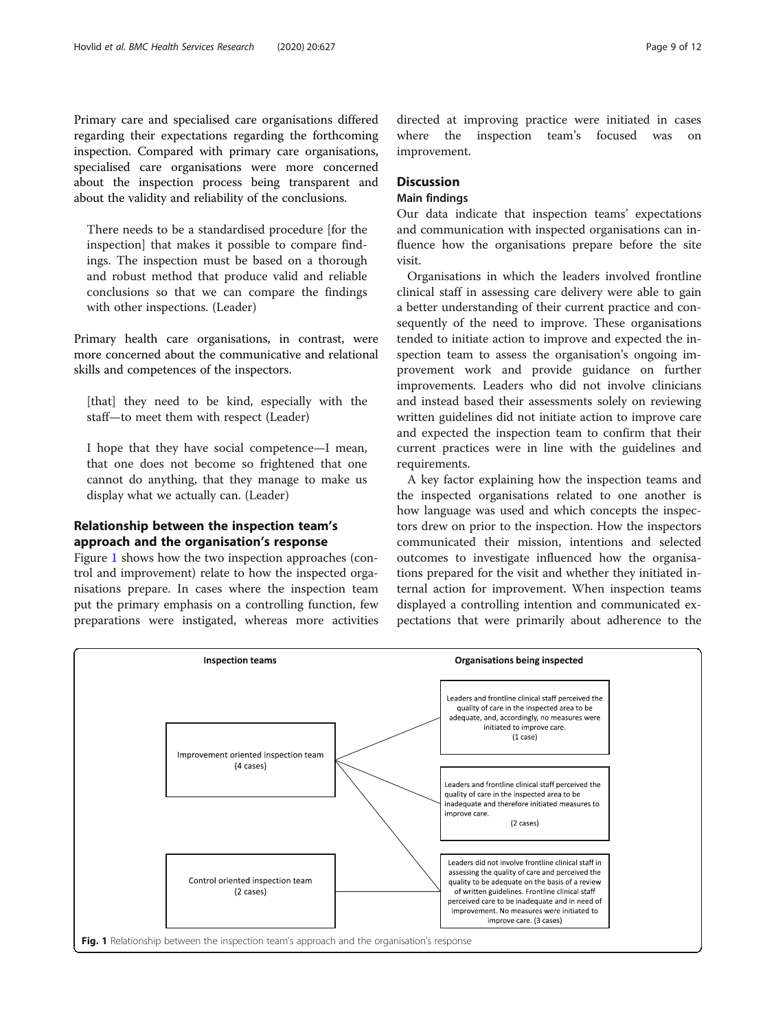Primary care and specialised care organisations differed regarding their expectations regarding the forthcoming inspection. Compared with primary care organisations, specialised care organisations were more concerned about the inspection process being transparent and about the validity and reliability of the conclusions.

There needs to be a standardised procedure [for the inspection] that makes it possible to compare findings. The inspection must be based on a thorough and robust method that produce valid and reliable conclusions so that we can compare the findings with other inspections. (Leader)

Primary health care organisations, in contrast, were more concerned about the communicative and relational skills and competences of the inspectors.

[that] they need to be kind, especially with the staff—to meet them with respect (Leader)

I hope that they have social competence—I mean, that one does not become so frightened that one cannot do anything, that they manage to make us display what we actually can. (Leader)

## Relationship between the inspection team's approach and the organisation's response

Figure 1 shows how the two inspection approaches (control and improvement) relate to how the inspected organisations prepare. In cases where the inspection team put the primary emphasis on a controlling function, few preparations were instigated, whereas more activities

directed at improving practice were initiated in cases where the inspection team's focused was on improvement.

## **Discussion**

## Main findings

Our data indicate that inspection teams' expectations and communication with inspected organisations can influence how the organisations prepare before the site visit.

Organisations in which the leaders involved frontline clinical staff in assessing care delivery were able to gain a better understanding of their current practice and consequently of the need to improve. These organisations tended to initiate action to improve and expected the inspection team to assess the organisation's ongoing improvement work and provide guidance on further improvements. Leaders who did not involve clinicians and instead based their assessments solely on reviewing written guidelines did not initiate action to improve care and expected the inspection team to confirm that their current practices were in line with the guidelines and requirements.

A key factor explaining how the inspection teams and the inspected organisations related to one another is how language was used and which concepts the inspectors drew on prior to the inspection. How the inspectors communicated their mission, intentions and selected outcomes to investigate influenced how the organisations prepared for the visit and whether they initiated internal action for improvement. When inspection teams displayed a controlling intention and communicated expectations that were primarily about adherence to the

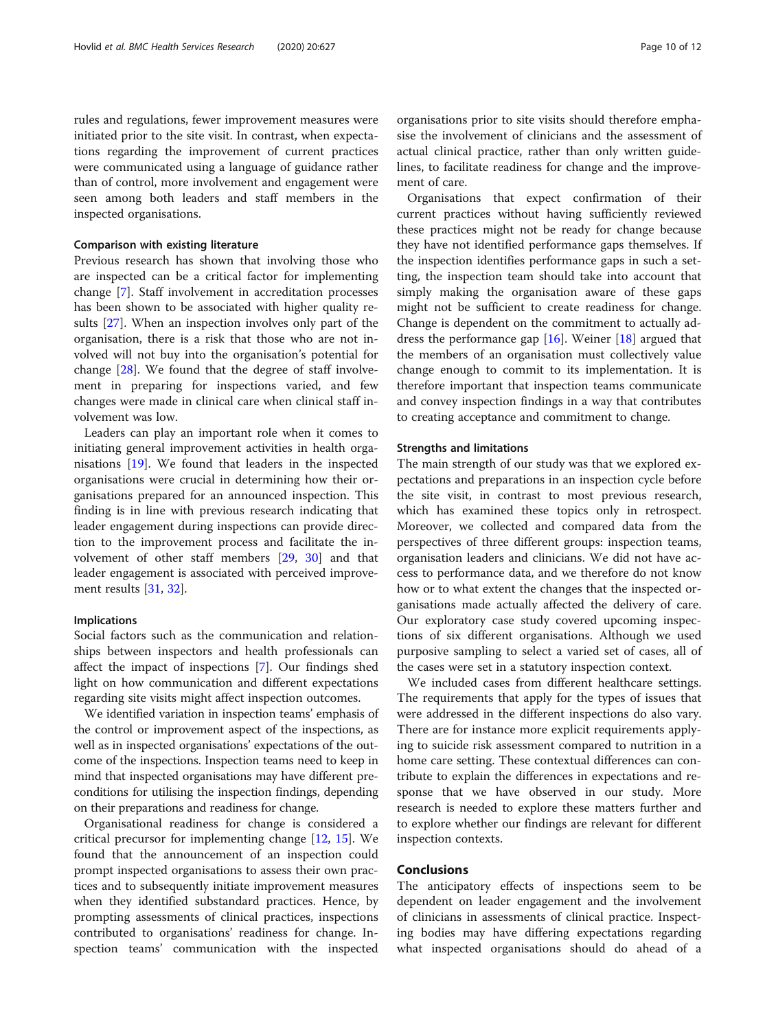rules and regulations, fewer improvement measures were initiated prior to the site visit. In contrast, when expectations regarding the improvement of current practices were communicated using a language of guidance rather than of control, more involvement and engagement were seen among both leaders and staff members in the inspected organisations.

## Comparison with existing literature

Previous research has shown that involving those who are inspected can be a critical factor for implementing change [\[7](#page-10-0)]. Staff involvement in accreditation processes has been shown to be associated with higher quality results [\[27\]](#page-10-0). When an inspection involves only part of the organisation, there is a risk that those who are not involved will not buy into the organisation's potential for change [\[28](#page-10-0)]. We found that the degree of staff involvement in preparing for inspections varied, and few changes were made in clinical care when clinical staff involvement was low.

Leaders can play an important role when it comes to initiating general improvement activities in health organisations [[19\]](#page-10-0). We found that leaders in the inspected organisations were crucial in determining how their organisations prepared for an announced inspection. This finding is in line with previous research indicating that leader engagement during inspections can provide direction to the improvement process and facilitate the involvement of other staff members [[29](#page-11-0), [30](#page-11-0)] and that leader engagement is associated with perceived improvement results [[31](#page-11-0), [32](#page-11-0)].

## Implications

Social factors such as the communication and relationships between inspectors and health professionals can affect the impact of inspections [[7\]](#page-10-0). Our findings shed light on how communication and different expectations regarding site visits might affect inspection outcomes.

We identified variation in inspection teams' emphasis of the control or improvement aspect of the inspections, as well as in inspected organisations' expectations of the outcome of the inspections. Inspection teams need to keep in mind that inspected organisations may have different preconditions for utilising the inspection findings, depending on their preparations and readiness for change.

Organisational readiness for change is considered a critical precursor for implementing change [[12,](#page-10-0) [15](#page-10-0)]. We found that the announcement of an inspection could prompt inspected organisations to assess their own practices and to subsequently initiate improvement measures when they identified substandard practices. Hence, by prompting assessments of clinical practices, inspections contributed to organisations' readiness for change. Inspection teams' communication with the inspected organisations prior to site visits should therefore emphasise the involvement of clinicians and the assessment of actual clinical practice, rather than only written guidelines, to facilitate readiness for change and the improvement of care.

Organisations that expect confirmation of their current practices without having sufficiently reviewed these practices might not be ready for change because they have not identified performance gaps themselves. If the inspection identifies performance gaps in such a setting, the inspection team should take into account that simply making the organisation aware of these gaps might not be sufficient to create readiness for change. Change is dependent on the commitment to actually address the performance gap  $[16]$  $[16]$ . Weiner  $[18]$  $[18]$  argued that the members of an organisation must collectively value change enough to commit to its implementation. It is therefore important that inspection teams communicate and convey inspection findings in a way that contributes to creating acceptance and commitment to change.

## Strengths and limitations

The main strength of our study was that we explored expectations and preparations in an inspection cycle before the site visit, in contrast to most previous research, which has examined these topics only in retrospect. Moreover, we collected and compared data from the perspectives of three different groups: inspection teams, organisation leaders and clinicians. We did not have access to performance data, and we therefore do not know how or to what extent the changes that the inspected organisations made actually affected the delivery of care. Our exploratory case study covered upcoming inspections of six different organisations. Although we used purposive sampling to select a varied set of cases, all of the cases were set in a statutory inspection context.

We included cases from different healthcare settings. The requirements that apply for the types of issues that were addressed in the different inspections do also vary. There are for instance more explicit requirements applying to suicide risk assessment compared to nutrition in a home care setting. These contextual differences can contribute to explain the differences in expectations and response that we have observed in our study. More research is needed to explore these matters further and to explore whether our findings are relevant for different inspection contexts.

## Conclusions

The anticipatory effects of inspections seem to be dependent on leader engagement and the involvement of clinicians in assessments of clinical practice. Inspecting bodies may have differing expectations regarding what inspected organisations should do ahead of a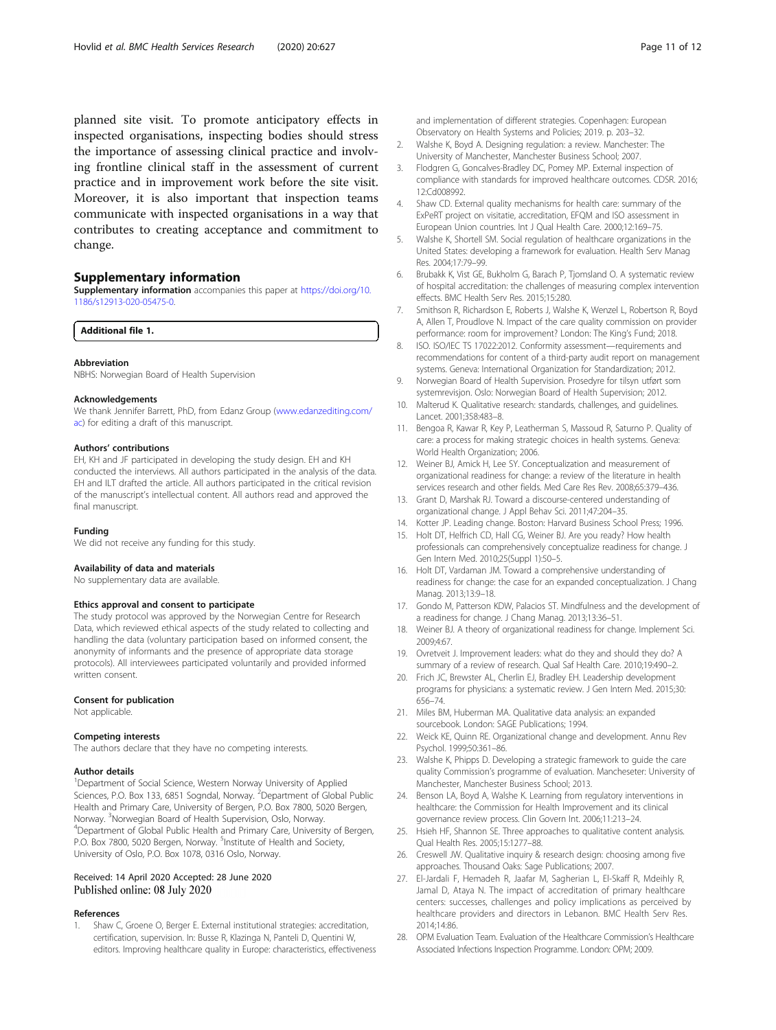<span id="page-10-0"></span>planned site visit. To promote anticipatory effects in inspected organisations, inspecting bodies should stress the importance of assessing clinical practice and involving frontline clinical staff in the assessment of current practice and in improvement work before the site visit. Moreover, it is also important that inspection teams communicate with inspected organisations in a way that contributes to creating acceptance and commitment to change.

## Supplementary information

Supplementary information accompanies this paper at [https://doi.org/10.](https://doi.org/10.1186/s12913-020-05475-0) [1186/s12913-020-05475-0](https://doi.org/10.1186/s12913-020-05475-0).

Additional file 1.

#### Abbreviation

NBHS: Norwegian Board of Health Supervision

#### Acknowledgements

We thank Jennifer Barrett, PhD, from Edanz Group [\(www.edanzediting.com/](http://www.edanzediting.com/ac) [ac](http://www.edanzediting.com/ac)) for editing a draft of this manuscript.

#### Authors' contributions

EH, KH and JF participated in developing the study design. EH and KH conducted the interviews. All authors participated in the analysis of the data. EH and ILT drafted the article. All authors participated in the critical revision of the manuscript's intellectual content. All authors read and approved the final manuscript.

#### Funding

We did not receive any funding for this study.

#### Availability of data and materials

No supplementary data are available.

#### Ethics approval and consent to participate

The study protocol was approved by the Norwegian Centre for Research Data, which reviewed ethical aspects of the study related to collecting and handling the data (voluntary participation based on informed consent, the anonymity of informants and the presence of appropriate data storage protocols). All interviewees participated voluntarily and provided informed written consent.

#### Consent for publication

Not applicable.

#### Competing interests

The authors declare that they have no competing interests.

#### Author details

<sup>1</sup>Department of Social Science, Western Norway University of Applied Sciences, P.O. Box 133, 6851 Sogndal, Norway. <sup>2</sup>Department of Global Public Health and Primary Care, University of Bergen, P.O. Box 7800, 5020 Bergen, Norway. <sup>3</sup>Norwegian Board of Health Supervision, Oslo, Norway.<br><sup>4</sup>Dopartment of Global Bublic Hoalth and Primary Gare, University <sup>4</sup>Department of Global Public Health and Primary Care, University of Bergen, P.O. Box 7800, 5020 Bergen, Norway. <sup>5</sup>Institute of Health and Society, University of Oslo, P.O. Box 1078, 0316 Oslo, Norway.

#### Received: 14 April 2020 Accepted: 28 June 2020 Published online: 08 July 2020

#### References

Shaw C, Groene O, Berger E. External institutional strategies: accreditation, certification, supervision. In: Busse R, Klazinga N, Panteli D, Quentini W, editors. Improving healthcare quality in Europe: characteristics, effectiveness

- 2. Walshe K, Boyd A. Designing regulation: a review. Manchester: The University of Manchester, Manchester Business School; 2007.
- 3. Flodgren G, Goncalves-Bradley DC, Pomey MP. External inspection of compliance with standards for improved healthcare outcomes. CDSR. 2016; 12:Cd008992.
- 4. Shaw CD. External quality mechanisms for health care: summary of the ExPeRT project on visitatie, accreditation, EFQM and ISO assessment in European Union countries. Int J Qual Health Care. 2000;12:169–75.
- 5. Walshe K, Shortell SM. Social regulation of healthcare organizations in the United States: developing a framework for evaluation. Health Serv Manag Res. 2004;17:79–99.
- 6. Brubakk K, Vist GE, Bukholm G, Barach P, Tjomsland O. A systematic review of hospital accreditation: the challenges of measuring complex intervention effects. BMC Health Serv Res. 2015;15:280.
- 7. Smithson R, Richardson E, Roberts J, Walshe K, Wenzel L, Robertson R, Boyd A, Allen T, Proudlove N. Impact of the care quality commission on provider performance: room for improvement? London: The King's Fund; 2018.
- 8. ISO. ISO/IEC TS 17022:2012. Conformity assessment—requirements and recommendations for content of a third-party audit report on management systems. Geneva: International Organization for Standardization; 2012.
- 9. Norwegian Board of Health Supervision. Prosedyre for tilsyn utført som systemrevisjon. Oslo: Norwegian Board of Health Supervision; 2012.
- 10. Malterud K. Qualitative research: standards, challenges, and guidelines. Lancet. 2001;358:483–8.
- 11. Bengoa R, Kawar R, Key P, Leatherman S, Massoud R, Saturno P. Quality of care: a process for making strategic choices in health systems. Geneva: World Health Organization; 2006.
- 12. Weiner BJ, Amick H, Lee SY. Conceptualization and measurement of organizational readiness for change: a review of the literature in health services research and other fields. Med Care Res Rev. 2008;65:379–436.
- 13. Grant D, Marshak RJ. Toward a discourse-centered understanding of organizational change. J Appl Behav Sci. 2011;47:204–35.
- 14. Kotter JP. Leading change. Boston: Harvard Business School Press; 1996.
- 15. Holt DT, Helfrich CD, Hall CG, Weiner BJ. Are you ready? How health professionals can comprehensively conceptualize readiness for change. J Gen Intern Med. 2010;25(Suppl 1):50–5.
- 16. Holt DT, Vardaman JM. Toward a comprehensive understanding of readiness for change: the case for an expanded conceptualization. J Chang Manag. 2013;13:9–18.
- 17. Gondo M, Patterson KDW, Palacios ST. Mindfulness and the development of a readiness for change. J Chang Manag. 2013;13:36–51.
- 18. Weiner BJ. A theory of organizational readiness for change. Implement Sci. 2009;4:67.
- 19. Ovretveit J. Improvement leaders: what do they and should they do? A summary of a review of research. Qual Saf Health Care. 2010;19:490–2.
- 20. Frich JC, Brewster AL, Cherlin EJ, Bradley EH, Leadership development programs for physicians: a systematic review. J Gen Intern Med. 2015;30: 656–74.
- 21. Miles BM, Huberman MA. Qualitative data analysis: an expanded sourcebook. London: SAGE Publications; 1994.
- 22. Weick KE, Quinn RE. Organizational change and development. Annu Rev Psychol. 1999;50:361–86.
- 23. Walshe K, Phipps D. Developing a strategic framework to guide the care quality Commission's programme of evaluation. Mancheseter: University of Manchester, Manchester Business School; 2013.
- 24. Benson LA, Boyd A, Walshe K. Learning from regulatory interventions in healthcare: the Commission for Health Improvement and its clinical governance review process. Clin Govern Int. 2006;11:213–24.
- 25. Hsieh HF, Shannon SE. Three approaches to qualitative content analysis. Qual Health Res. 2005;15:1277–88.
- 26. Creswell JW. Qualitative inquiry & research design: choosing among five approaches. Thousand Oaks: Sage Publications; 2007.
- 27. El-Jardali F, Hemadeh R, Jaafar M, Sagherian L, El-Skaff R, Mdeihly R, Jamal D, Ataya N. The impact of accreditation of primary healthcare centers: successes, challenges and policy implications as perceived by healthcare providers and directors in Lebanon. BMC Health Serv Res. 2014;14:86.
- 28. OPM Evaluation Team. Evaluation of the Healthcare Commission's Healthcare Associated Infections Inspection Programme. London: OPM; 2009.